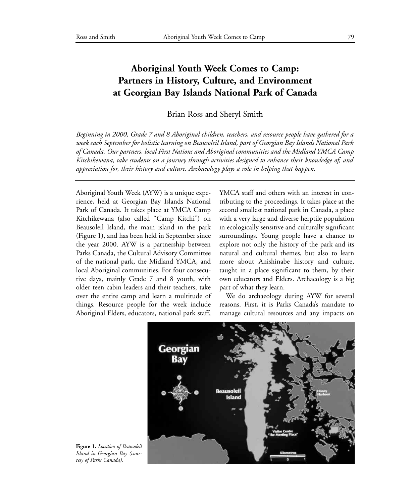## **Aboriginal Youth Week Comes to Camp: Partners in History, Culture, and Environment at Georgian Bay Islands National Park of Canada**

Brian Ross and Sheryl Smith

*Beginning in 2000, Grade 7 and 8 Aboriginal children, teachers, and resource people have gathered for a week each September for holistic learning on Beausoleil Island, part of Georgian Bay Islands National Park of Canada. Our partners, local First Nations and Aboriginal communities and the Midland YMCA Camp Kitchikewana, take students on a journey through activities designed to enhance their knowledge of, and appreciation for, their history and culture. Archaeology plays a role in helping that happen.*

Aboriginal Youth Week (AYW) is a unique experience, held at Georgian Bay Islands National Park of Canada. It takes place at YMCA Camp Kitchikewana (also called "Camp Kitchi") on Beausoleil Island, the main island in the park (Figure 1), and has been held in September since the year 2000. AYW is a partnership between Parks Canada, the Cultural Advisory Committee of the national park, the Midland YMCA, and local Aboriginal communities. For four consecutive days, mainly Grade 7 and 8 youth, with older teen cabin leaders and their teachers, take over the entire camp and learn a multitude of things. Resource people for the week include Aboriginal Elders, educators, national park staff, YMCA staff and others with an interest in contributing to the proceedings. It takes place at the second smallest national park in Canada, a place with a very large and diverse herptile population in ecologically sensitive and culturally significant surroundings. Young people have a chance to explore not only the history of the park and its natural and cultural themes, but also to learn more about Anishinabe history and culture, taught in a place significant to them, by their own educators and Elders. Archaeology is a big part of what they learn.

We do archaeology during AYW for several reasons. First, it is Parks Canada's mandate to manage cultural resources and any impacts on



**Figure 1.** *Location of Beausoleil Island in Georgian Bay (courtesy of Parks Canada).*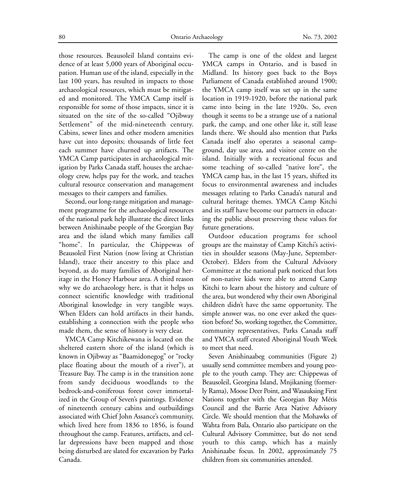those resources. Beausoleil Island contains evidence of at least 5,000 years of Aboriginal occupation. Human use of the island, especially in the last 100 years, has resulted in impacts to those archaeological resources, which must be mitigated and monitored. The YMCA Camp itself is responsible for some of those impacts, since it is situated on the site of the so-called "Ojibway Settlement" of the mid-nineteenth century. Cabins, sewer lines and other modern amenities have cut into deposits; thousands of little feet each summer have churned up artifacts. The YMCA Camp participates in archaeological mitigation by Parks Canada staff, houses the archaeology crew, helps pay for the work, and teaches cultural resource conservation and management messages to their campers and families.

Second, our long-range mitigation and management programme for the archaeological resources of the national park help illustrate the direct links between Anishinaabe people of the Georgian Bay area and the island which many families call "home". In particular, the Chippewas of Beausoleil First Nation (now living at Christian Island), trace their ancestry to this place and beyond, as do many families of Aboriginal heritage in the Honey Harbour area. A third reason why we do archaeology here, is that it helps us connect scientific knowledge with traditional Aboriginal knowledge in very tangible ways. When Elders can hold artifacts in their hands, establishing a connection with the people who made them, the sense of history is very clear.

YMCA Camp Kitchikewana is located on the sheltered eastern shore of the island (which is known in Ojibway as "Baamidonegog" or "rocky place floating about the mouth of a river"), at Treasure Bay. The camp is in the transition zone from sandy deciduous woodlands to the bedrock-and-coniferous forest cover immortalized in the Group of Seven's paintings. Evidence of nineteenth century cabins and outbuildings associated with Chief John Assance's community, which lived here from 1836 to 1856, is found throughout the camp. Features, artifacts, and cellar depressions have been mapped and those being disturbed are slated for excavation by Parks Canada.

The camp is one of the oldest and largest YMCA camps in Ontario, and is based in Midland. Its history goes back to the Boys Parliament of Canada established around 1900; the YMCA camp itself was set up in the same location in 1919-1920, before the national park came into being in the late 1920s. So, even though it seems to be a strange use of a national park, the camp, and one other like it, still lease lands there. We should also mention that Parks Canada itself also operates a seasonal campground, day use area, and visitor centre on the island. Initially with a recreational focus and some teaching of so-called "native lore", the YMCA camp has, in the last 15 years, shifted its focus to environmental awareness and includes messages relating to Parks Canada's natural and cultural heritage themes. YMCA Camp Kitchi and its staff have become our partners in educating the public about preserving these values for future generations.

Outdoor education programs for school groups are the mainstay of Camp Kitchi's activities in shoulder seasons (May-June, September-October). Elders from the Cultural Advisory Committee at the national park noticed that lots of non-native kids were able to attend Camp Kitchi to learn about the history and culture of the area, but wondered why their own Aboriginal children didn't have the same opportunity. The simple answer was, no one ever asked the question before! So, working together, the Committee, community representatives, Parks Canada staff and YMCA staff created Aboriginal Youth Week to meet that need.

Seven Anishinaabeg communities (Figure 2) usually send committee members and young people to the youth camp. They are: Chippewas of Beausoleil, Georgina Island, Mnjikaning (formerly Rama), Moose Deer Point, and Wasauksing First Nations together with the Georgian Bay Métis Council and the Barrie Area Native Advisory Circle. We should mention that the Mohawks of Wahta from Bala, Ontario also participate on the Cultural Advisory Committee, but do not send youth to this camp, which has a mainly Anishinaabe focus. In 2002, approximately 75 children from six communities attended.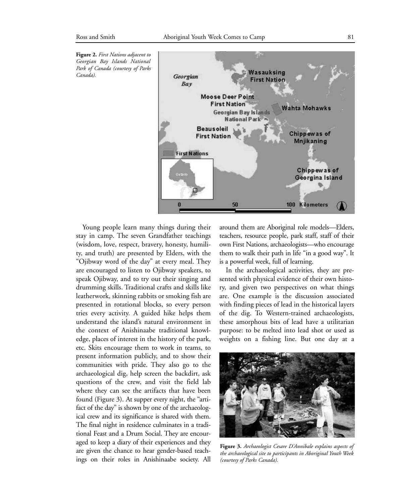

Young people learn many things during their stay in camp. The seven Grandfather teachings (wisdom, love, respect, bravery, honesty, humility, and truth) are presented by Elders, with the "Ojibway word of the day" at every meal. They are encouraged to listen to Ojibway speakers, to speak Ojibway, and to try out their singing and drumming skills. Traditional crafts and skills like leatherwork, skinning rabbits or smoking fish are presented in rotational blocks, so every person tries every activity. A guided hike helps them understand the island's natural environment in the context of Anishinaabe traditional knowledge, places of interest in the history of the park, etc. Skits encourage them to work in teams, to present information publicly, and to show their communities with pride. They also go to the archaeological dig, help screen the backdirt, ask questions of the crew, and visit the field lab where they can see the artifacts that have been found (Figure 3). At supper every night, the "artifact of the day" is shown by one of the archaeological crew and its significance is shared with them. The final night in residence culminates in a traditional Feast and a Drum Social. They are encouraged to keep a diary of their experiences and they are given the chance to hear gender-based teachings on their roles in Anishinaabe society. All around them are Aboriginal role models—Elders, teachers, resource people, park staff, staff of their own First Nations, archaeologists—who encourage them to walk their path in life "in a good way". It is a powerful week, full of learning.

In the archaeological activities, they are presented with physical evidence of their own history, and given two perspectives on what things are. One example is the discussion associated with finding pieces of lead in the historical layers of the dig. To Western-trained archaeologists, these amorphous bits of lead have a utilitarian purpose: to be melted into lead shot or used as weights on a fishing line. But one day at a



**Figure 3.** *Archaeologist Cesare D'Annibale explains aspects of the archaeological site to participants in Aboriginal Youth Week (courtesy of Parks Canada).*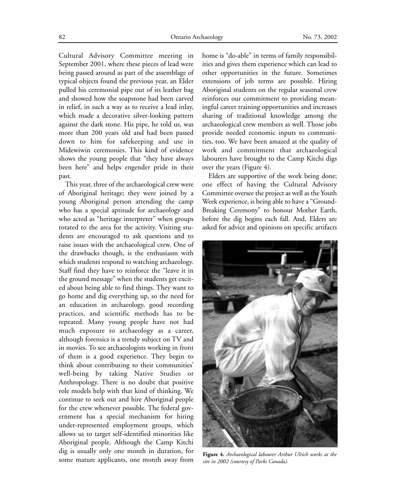Cultural Advisory Committee meeting in September 2001, where these pieces of lead were being passed around as part of the assemblage of typical objects found the previous year, an Elder pulled his ceremonial pipe out of its leather bag and showed how the soapstone had been carved in relief, in such a way as to receive a lead inlay, which made a decorative silver-looking pattern against the dark stone. His pipe, he told us, was more than 200 years old and had been passed down to him for safekeeping and use in Midewiwin ceremonies. This kind of evidence shows the young people that "they have always been here" and helps engender pride in their past.

This year, three of the archaeological crew were of Aboriginal heritage; they were joined by a young Aboriginal person attending the camp who has a special aptitude for archaeology and who acted as "heritage interpreter" when groups rotated to the area for the activity. Visiting students are encouraged to ask questions and to raise issues with the archaeological crew. One of the drawbacks though, is the enthusiasm with which students respond to watching archaeology. Staff find they have to reinforce the "leave it in the ground message" when the students get excited about being able to find things. They want to go home and dig everything up, so the need for an education in archaeology, good recording practices, and scientific methods has to be repeated. Many young people have not had much exposure to archaeology as a career, although forensics is a trendy subject on TV and in movies. To see archaeologists working in front of them is a good experience. They begin to think about contributing to their communities' well-being by taking Native Studies or Anthropology. There is no doubt that positive role models help with that kind of thinking. We continue to seek out and hire Aboriginal people for the crew whenever possible. The federal government has a special mechanism for hiring under-represented employment groups, which allows us to target self-identified minorities like Aboriginal people. Although the Camp Kitchi dig is usually only one month in duration, for some mature applicants, one month away from

home is "do-able" in terms of family responsibilities and gives them experience which can lead to other opportunities in the future. Sometimes extensions of job terms are possible. Hiring Aboriginal students on the regular seasonal crew reinforces our commitment to providing meaningful career training opportunities and increases sharing of traditional knowledge among the archaeological crew members as well. Those jobs provide needed economic inputs to communities, too. We have been amazed at the quality of work and commitment that archaeological labourers have brought to the Camp Kitchi digs over the years (Figure 4).

Elders are supportive of the work being done; one effect of having the Cultural Advisory Committee oversee the project as well as the Youth Week experience, is being able to have a "Ground-Breaking Ceremony" to honour Mother Earth, before the dig begins each fall. And, Elders are asked for advice and opinions on specific artifacts



**Figure 4.** *Archaeological labourer Arthur Ulrich works at the site in 2002 (courtesy of Parks Canada).*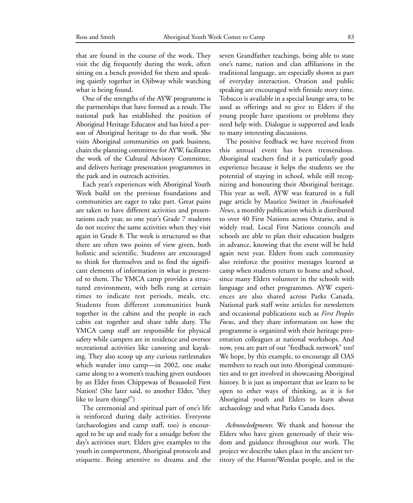that are found in the course of the work. They visit the dig frequently during the week, often sitting on a bench provided for them and speaking quietly together in Ojibway while watching what is being found.

One of the strengths of the AYW programme is the partnerships that have formed as a result. The national park has established the position of Aboriginal Heritage Educator and has hired a person of Aboriginal heritage to do that work. She visits Aboriginal communities on park business, chairs the planning committee for AYW, facilitates the work of the Cultural Advisory Committee, and delivers heritage presentation programmes in the park and in outreach activities.

Each year's experiences with Aboriginal Youth Week build on the previous foundations and communities are eager to take part. Great pains are taken to have different activities and presentations each year, so one year's Grade 7 students do not receive the same activities when they visit again in Grade 8. The week is structured so that there are often two points of view given, both holistic and scientific. Students are encouraged to think for themselves and to find the significant elements of information in what is presented to them. The YMCA camp provides a structured environment, with bells rung at certain times to indicate rest periods, meals, etc. Students from different communities bunk together in the cabins and the people in each cabin eat together and share table duty. The YMCA camp staff are responsible for physical safety while campers are in residence and oversee recreational activities like canoeing and kayaking. They also scoop up any curious rattlesnakes which wander into camp—in 2002, one snake came along to a women's teaching given outdoors by an Elder from Chippewas of Beausoleil First Nation! (She later said, to another Elder, "they like to learn things!")

The ceremonial and spiritual part of one's life is reinforced during daily activities. Everyone (archaeologists and camp staff, too) is encouraged to be up and ready for a smudge before the day's activities start. Elders give examples to the youth in comportment, Aboriginal protocols and etiquette. Being attentive to dreams and the seven Grandfather teachings, being able to state one's name, nation and clan affiliations in the traditional language, are especially shown as part of everyday interaction. Oration and public speaking are encouraged with fireside story time. Tobacco is available in a special lounge area, to be used as offerings and to give to Elders if the young people have questions or problems they need help with. Dialogue is supported and leads to many interesting discussions.

The positive feedback we have received from this annual event has been tremendous. Aboriginal teachers find it a particularly good experience because it helps the students see the potential of staying in school, while still recognizing and honouring their Aboriginal heritage. This year as well, AYW was featured in a full page article by Maurice Switzer in *Anishinabek News*, a monthly publication which is distributed to over 40 First Nations across Ontario, and is widely read. Local First Nations councils and schools are able to plan their education budgets in advance, knowing that the event will be held again next year. Elders from each community also reinforce the positive messages learned at camp when students return to home and school, since many Elders volunteer in the schools with language and other programmes. AYW experiences are also shared across Parks Canada. National park staff write articles for newsletters and occasional publications such as *First Peoples Focus*, and they share information on how the programme is organized with their heritage presentation colleagues at national workshops. And now, you are part of our "feedback network" too! We hope, by this example, to encourage all OAS members to reach out into Aboriginal communities and to get involved in showcasing Aboriginal history. It is just as important that *we* learn to be open to other ways of thinking, as it is for Aboriginal youth and Elders to learn about archaeology and what Parks Canada does.

*Acknowledgments.* We thank and honour the Elders who have given generously of their wisdom and guidance throughout our work. The project we describe takes place in the ancient territory of the Huron/Wendat people, and in the